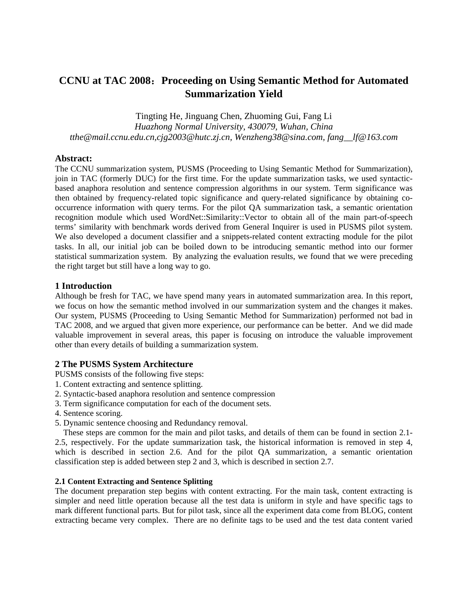# **CCNU at TAC 2008**:**Proceeding on Using Semantic Method for Automated Summarization Yield**

Tingting He, Jinguang Chen, Zhuoming Gui, Fang Li *Huazhong Normal University, 430079, Wuhan, China tthe@mail.ccnu.edu.cn,cjg2003@hutc.zj.cn, Wenzheng38@sina.com, fang\_\_lf@163.com* 

## **Abstract:**

The CCNU summarization system, PUSMS (Proceeding to Using Semantic Method for Summarization), join in TAC (formerly DUC) for the first time. For the update summarization tasks, we used syntacticbased anaphora resolution and sentence compression algorithms in our system. Term significance was then obtained by frequency-related topic significance and query-related significance by obtaining cooccurrence information with query terms. For the pilot QA summarization task, a semantic orientation recognition module which used WordNet::Similarity::Vector to obtain all of the main part-of-speech terms' similarity with benchmark words derived from General Inquirer is used in PUSMS pilot system. We also developed a document classifier and a snippets-related content extracting module for the pilot tasks. In all, our initial job can be boiled down to be introducing semantic method into our former statistical summarization system. By analyzing the evaluation results, we found that we were preceding the right target but still have a long way to go.

## **1 Introduction**

Although be fresh for TAC, we have spend many years in automated summarization area. In this report, we focus on how the semantic method involved in our summarization system and the changes it makes. Our system, PUSMS (Proceeding to Using Semantic Method for Summarization) performed not bad in TAC 2008, and we argued that given more experience, our performance can be better. And we did made valuable improvement in several areas, this paper is focusing on introduce the valuable improvement other than every details of building a summarization system.

#### **2 The PUSMS System Architecture**

PUSMS consists of the following five steps:

- 1. Content extracting and sentence splitting.
- 2. Syntactic-based anaphora resolution and sentence compression
- 3. Term significance computation for each of the document sets.
- 4. Sentence scoring.
- 5. Dynamic sentence choosing and Redundancy removal.

These steps are common for the main and pilot tasks, and details of them can be found in section 2.1- 2.5, respectively. For the update summarization task, the historical information is removed in step 4, which is described in section 2.6. And for the pilot QA summarization, a semantic orientation classification step is added between step 2 and 3, which is described in section 2.7.

#### **2.1 Content Extracting and Sentence Splitting**

The document preparation step begins with content extracting. For the main task, content extracting is simpler and need little operation because all the test data is uniform in style and have specific tags to mark different functional parts. But for pilot task, since all the experiment data come from BLOG, content extracting became very complex. There are no definite tags to be used and the test data content varied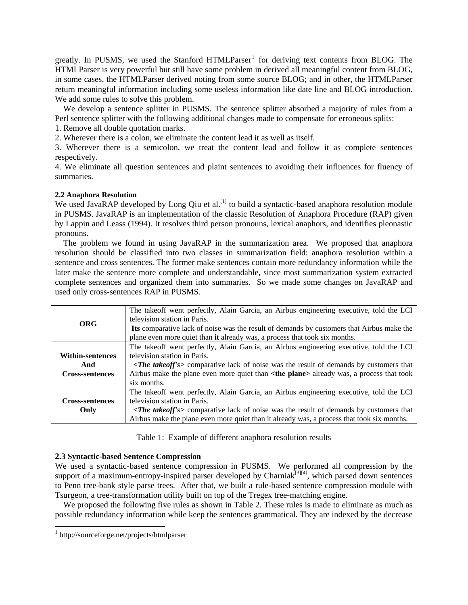greatly. In PUSMS, we used the Stanford HTMLParser<sup>[1](#page-1-0)</sup> for deriving text contents from BLOG. The HTMLParser is very powerful but still have some problem in derived all meaningful content from BLOG, in some cases, the HTMLParser derived noting from some source BLOG; and in other, the HTMLParser return meaningful information including some useless information like date line and BLOG introduction. We add some rules to solve this problem.

We develop a sentence splitter in PUSMS. The sentence splitter absorbed a majority of rules from a Perl sentence splitter with the following additional changes made to compensate for erroneous splits:

1. Remove all double quotation marks.

2. Wherever there is a colon, we eliminate the content lead it as well as itself.

3. Wherever there is a semicolon, we treat the content lead and follow it as complete sentences respectively.

4. We eliminate all question sentences and plaint sentences to avoiding their influences for fluency of summaries.

## **2.2 Anaphora Resolution**

We used JavaRAP developed by Long Qiu et al.<sup>[1]</sup> to build a syntactic-based anaphora resolution module in PUSMS. JavaRAP is an implementation of the classic Resolution of Anaphora Procedure (RAP) given by Lappin and Leass (1994). It resolves third person pronouns, lexical anaphors, and identifies pleonastic pronouns.

The problem we found in using JavaRAP in the summarization area. We proposed that anaphora resolution should be classified into two classes in summarization field: anaphora resolution within a sentence and cross sentences. The former make sentences contain more redundancy information while the later make the sentence more complete and understandable, since most summarization system extracted complete sentences and organized them into summaries. So we made some changes on JavaRAP and used only cross-sentences RAP in PUSMS.

| ORG                     | The takeoff went perfectly, Alain Garcia, an Airbus engineering executive, told the LCI<br>television station in Paris.                                                 |  |  |  |  |  |  |
|-------------------------|-------------------------------------------------------------------------------------------------------------------------------------------------------------------------|--|--|--|--|--|--|
|                         | Its comparative lack of noise was the result of demands by customers that Airbus make the<br>plane even more quiet than it already was, a process that took six months. |  |  |  |  |  |  |
|                         | The takeoff went perfectly, Alain Garcia, an Airbus engineering executive, told the LCI                                                                                 |  |  |  |  |  |  |
| <b>Within-sentences</b> | television station in Paris.                                                                                                                                            |  |  |  |  |  |  |
| And                     | <the takeoff's=""> comparative lack of noise was the result of demands by customers that</the>                                                                          |  |  |  |  |  |  |
| <b>Cross-sentences</b>  | Airbus make the plane even more quiet than <the plane=""> already was, a process that took</the>                                                                        |  |  |  |  |  |  |
|                         | six months.                                                                                                                                                             |  |  |  |  |  |  |
|                         | The takeoff went perfectly, Alain Garcia, an Airbus engineering executive, told the LCI                                                                                 |  |  |  |  |  |  |
| <b>Cross-sentences</b>  | television station in Paris.                                                                                                                                            |  |  |  |  |  |  |
| Only                    | <the takeoff's=""> comparative lack of noise was the result of demands by customers that</the>                                                                          |  |  |  |  |  |  |
|                         | Airbus make the plane even more quiet than it already was, a process that took six months.                                                                              |  |  |  |  |  |  |

Table 1: Example of different anaphora resolution results

#### **2.3 Syntactic-based Sentence Compression**

We used a syntactic-based sentence compression in PUSMS. We performed all compression by the support of a maximum-entropy-inspired parser developed by Charniak<sup>[3][4]</sup>, which parsed down sentences to Penn tree-bank style parse trees. After that, we built a rule-based sentence compression module with Tsurgeon, a tree-transformation utility built on top of the Tregex tree-matching engine.

We proposed the following five rules as shown in Table 2. These rules is made to eliminate as much as possible redundancy information while keep the sentences grammatical. They are indexed by the decrease

<span id="page-1-0"></span> 1 http://sourceforge.net/projects/htmlparser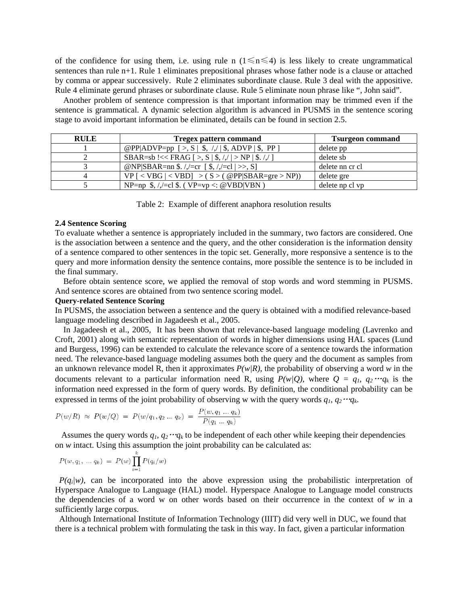of the confidence for using them, i.e. using rule n ( $1 \le n \le 4$ ) is less likely to create ungrammatical sentences than rule n+1. Rule 1 eliminates prepositional phrases whose father node is a clause or attached by comma or appear successively. Rule 2 eliminates subordinate clause. Rule 3 deal with the appositive. Rule 4 eliminate gerund phrases or subordinate clause. Rule 5 eliminate noun phrase like ", John said".

Another problem of sentence compression is that important information may be trimmed even if the sentence is grammatical. A dynamic selection algorithm is advanced in PUSMS in the sentence scoring stage to avoid important information be eliminated, details can be found in section 2.5.

| <b>RULE</b> | <b>Tregex pattern command</b>                                   | <b>Tsurgeon command</b> |  |
|-------------|-----------------------------------------------------------------|-------------------------|--|
|             | @PP ADVP=pp [>, S   \$, /,/   \$, ADVP   \$, PP ]               | delete pp               |  |
|             | SBAR=sb!<< FRAG [>, S   \$, /,/   > NP   \$. /,/ ]              | delete sb               |  |
|             | @NP SBAR=nn \$.//=cr [\$,//=cl  >>, S]                          | delete nn cr cl         |  |
|             | $VP [ < VBG   < VBD] > (S > ( @PP SBAR = gre > NP))$            | delete gre              |  |
|             | NP=np $\frac{1}{2}$ , //=cl $\frac{1}{2}$ . (VP=vp <: @VBD VBN) | delete np cl vp         |  |

Table 2: Example of different anaphora resolution results

#### **2.4 Sentence Scoring**

To evaluate whether a sentence is appropriately included in the summary, two factors are considered. One is the association between a sentence and the query, and the other consideration is the information density of a sentence compared to other sentences in the topic set. Generally, more responsive a sentence is to the query and more information density the sentence contains, more possible the sentence is to be included in the final summary.

Before obtain sentence score, we applied the removal of stop words and word stemming in PUSMS. And sentence scores are obtained from two sentence scoring model.

#### **Query-related Sentence Scoring**

In PUSMS, the association between a sentence and the query is obtained with a modified relevance-based language modeling described in Jagadeesh et al., 2005.

In Jagadeesh et al., 2005, It has been shown that relevance-based language modeling (Lavrenko and Croft, 2001) along with semantic representation of words in higher dimensions using HAL spaces (Lund and Burgess, 1996) can be extended to calculate the relevance score of a sentence towards the information need. The relevance-based language modeling assumes both the query and the document as samples from an unknown relevance model R, then it approximates *P(w|R)*, the probability of observing a word *w* in the documents relevant to a particular information need R, using  $P(w|Q)$ , where  $Q = q_1, q_2 \cdots q_k$  is the information need expressed in the form of query words. By definition, the conditional probability can be expressed in terms of the joint probability of observing w with the query words  $q_1, q_2 \cdots q_k$ .

$$
P(w/R) \approx P(w/Q) = P(w/q_1, q_2 \dots q_k) = \frac{P(w, q_1 \dots q_k)}{P(q_1 \dots q_k)}
$$

Assumes the query words  $q_1, q_2 \cdots q_k$  to be independent of each other while keeping their dependencies on *w* intact. Using this assumption the joint probability can be calculated as:

$$
P(w, q_1, \ldots q_k) \ = \ P(w) \prod_{i=1}^k P(q_i/w)
$$

*P(q<sub>i</sub>|w)*, can be incorporated into the above expression using the probabilistic interpretation of Hyperspace Analogue to Language (HAL) model. Hyperspace Analogue to Language model constructs the dependencies of a word w on other words based on their occurrence in the context of *w* in a sufficiently large corpus.

 Although International Institute of Information Technology (IIIT) did very well in DUC, we found that there is a technical problem with formulating the task in this way. In fact, given a particular information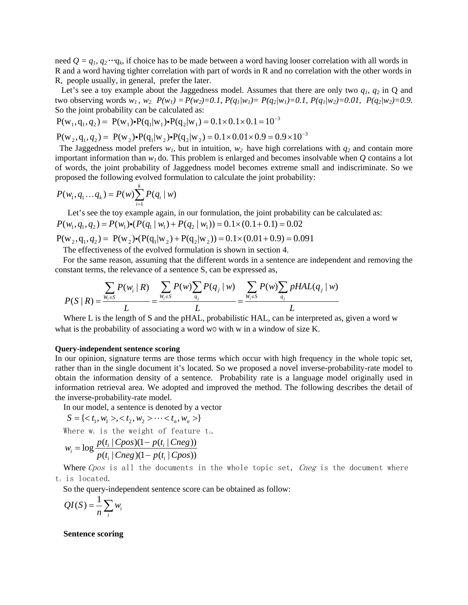need  $Q = q_1, q_2 \cdots q_k$ , if choice has to be made between a word having looser correlation with all words in R and a word having tighter correlation with part of words in R and no correlation with the other words in R, people usually, in general, prefer the later.

 Let's see a toy example about the Jaggedness model. Assumes that there are only two *q1*, *q2* in Q and two observing words  $w_1$ ,  $w_2$ .  $P(w_1) = P(w_2) = 0.1$ ,  $P(q_1|w_1) = P(q_2|w_1) = 0.1$ ,  $P(q_1|w_2) = 0.01$ ,  $P(q_2|w_2) = 0.9$ . So the joint probability can be calculated as:

$$
P(w_1, q_1, q_2) = P(w_1) \cdot P(q_1|w_1) \cdot P(q_2|w_1) = 0.1 \times 0.1 \times 0.1 = 10^{-3}
$$

 $P(w_2, q_1, q_2) = P(w_2) \cdot P(q_1 | w_2) \cdot P(q_2 | w_2) = 0.1 \times 0.01 \times 0.9 = 0.9 \times 10^{-3}$ 

The Jaggedness model prefers  $w_1$ , but in intuition,  $w_2$  have high correlations with  $q_2$  and contain more important information than  $w_l$  do. This problem is enlarged and becomes insolvable when  $Q$  contains a lot of words, the joint probability of Jaggedness model becomes extreme small and indiscriminate. So we proposed the following evolved formulation to calculate the joint probability:

$$
P(w_1, q_1...q_k) = P(w) \sum_{i=1}^{k} P(q_i \mid w)
$$

Let's see the toy example again, in our formulation, the joint probability can be calculated as:

 $P(w_1, q_1, q_2) = P(w_1) \cdot (P(q_1 | w_1) + P(q_2 | w_1)) = 0.1 \times (0.1 + 0.1) = 0.02$ 

 $P(w_2, q_1, q_2) = P(w_2) \cdot (P(q_1 | w_2) + P(q_2 | w_2)) = 0.1 \times (0.01 + 0.9) = 0.091$ The effectiveness of the evolved formulation is shown in section 4.

For the same reason, assuming that the different words in a sentence are independent and removing the constant terms, the relevance of a sentence S, can be expressed as,

$$
P(S \mid R) = \frac{\sum_{W_i \in S} P(w_i \mid R)}{L} = \frac{\sum_{W_i \in S} P(w) \sum_{q_j} P(q_j \mid w)}{L} = \frac{\sum_{W_i \in S} P(w) \sum_{q_j} pHAL(q_j \mid w)}{L}
$$

Where L is the length of S and the pHAL, probabilistic HAL, can be interpreted as, given a word w what is the probability of associating a word w0 with w in a window of size K.

#### **Query-independent sentence scoring**

In our opinion, signature terms are those terms which occur with high frequency in the whole topic set, rather than in the single document it's located. So we proposed a novel inverse-probability-rate model to obtain the information density of a sentence. Probability rate is a language model originally used in information retrieval area. We adopted and improved the method. The following describes the detail of the inverse-probability-rate model.

In our model, a sentence is denoted by a vector

$$
S = \{ \langle t_1, w_1 \rangle, \langle t_2, w_2 \rangle, \dots, \langle t_n, w_n \rangle \}
$$
  
Where  $w_i$  is the weight of feature t.  

$$
w_i = \log \frac{p(t_i | Cpos)(1 - p(t_i | Cneg))}{p(t_i | Cneg)(1 - p(t_i | Cpos))}
$$

Where Cpos is all the documents in the whole topic set, Cneg is the document where ti is located.

So the query-independent sentence score can be obtained as follow:

$$
QI(S) = \frac{1}{n} \sum_{i} w_i
$$

#### **Sentence scoring**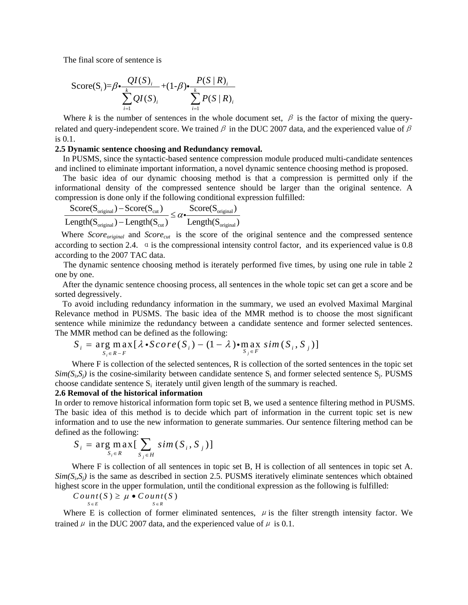The final score of sentence is

$$
\text{Score}(S_i) = \beta \cdot \frac{QI(S_i)}{\sum_{i=1}^k QI(S_i)} + (1-\beta) \cdot \frac{P(S \mid R)_i}{\sum_{i=1}^k P(S \mid R)_i}
$$

Where *k* is the number of sentences in the whole document set,  $\beta$  is the factor of mixing the queryrelated and query-independent score. We trained  $\beta$  in the DUC 2007 data, and the experienced value of  $\beta$ is 0.1.

#### **2.5 Dynamic sentence choosing and Redundancy removal.**

 In PUSMS, since the syntactic-based sentence compression module produced multi-candidate sentences and inclined to eliminate important information, a novel dynamic sentence choosing method is proposed.

The basic idea of our dynamic choosing method is that a compression is permitted only if the informational density of the compressed sentence should be larger than the original sentence. A compression is done only if the following conditional expression fulfilled:

$$
\frac{Score(S_{original}) - Score(S_{cut})}{Length(S_{original}) - Length(S_{cut})} \leq \alpha \cdot \frac{Score(S_{original})}{Length(S_{original})}
$$

Where *Score<sub>original</sub>* and *Score<sub>cut</sub>* is the score of the original sentence and the compressed sentence according to section 2.4.  $\alpha$  is the compressional intensity control factor, and its experienced value is 0.8 according to the 2007 TAC data.

 The dynamic sentence choosing method is iterately performed five times, by using one rule in table 2 one by one.

After the dynamic sentence choosing process, all sentences in the whole topic set can get a score and be sorted degressively.

To avoid including redundancy information in the summary, we used an evolved Maximal Marginal Relevance method in PUSMS. The basic idea of the MMR method is to choose the most significant sentence while minimize the redundancy between a candidate sentence and former selected sentences. The MMR method can be defined as the following:

$$
S_i = \underset{S_i \in R - F}{\arg \max} [\lambda \cdot Score(S_i) - (1 - \lambda) \cdot \underset{S_j \in F}{\max} \, sim(S_i, S_j)]
$$

Where F is collection of the selected sentences, R is collection of the sorted sentences in the topic set  $Sim(S_i, S_j)$  is the cosine-similarity between candidate sentence  $S_i$  and former selected sentence  $S_i$ . PUSMS choose candidate sentence  $S_i$  iterately until given length of the summary is reached.

## **2.6 Removal of the historical information**

In order to remove historical information form topic set B, we used a sentence filtering method in PUSMS. The basic idea of this method is to decide which part of information in the current topic set is new information and to use the new information to generate summaries. Our sentence filtering method can be defined as the following:

$$
S_i = \arg \max_{S_i \in R} [\sum_{S_j \in H} sim(S_i, S_j)]
$$

Where F is collection of all sentences in topic set B, H is collection of all sentences in topic set A.  $Sim(S_i, S_j)$  is the same as described in section 2.5. PUSMS iteratively eliminate sentences which obtained highest score in the upper formulation, until the conditional expression as the following is fulfilled:

 $Count(S) \geq \mu \bullet Count(S)$  $S \in F$   $S \in R$ ∈  $E$   $S \in$ 

Where E is collection of former eliminated sentences,  $\mu$  is the filter strength intensity factor. We trained  $\mu$  in the DUC 2007 data, and the experienced value of  $\mu$  is 0.1.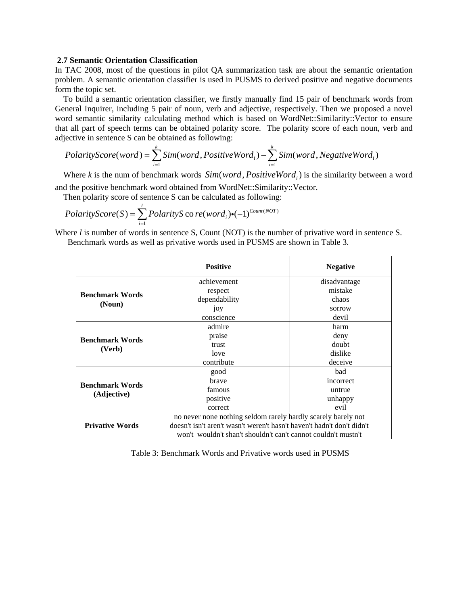#### **2.7 Semantic Orientation Classification**

In TAC 2008, most of the questions in pilot QA summarization task are about the semantic orientation problem. A semantic orientation classifier is used in PUSMS to derived positive and negative documents form the topic set.

To build a semantic orientation classifier, we firstly manually find 15 pair of benchmark words from General Inquirer, including 5 pair of noun, verb and adjective, respectively. Then we proposed a novel word semantic similarity calculating method which is based on WordNet::Similarity::Vector to ensure that all part of speech terms can be obtained polarity score. The polarity score of each noun, verb and adjective in sentence S can be obtained as following:

$$
Polarity Score(word) = \sum_{i=1}^{k} Sim(word, PositiveWord_i) - \sum_{i=1}^{k} Sim(word, NegativeWord_i)
$$

Where *k* is the num of benchmark words  $Sim(word, PositiveWord_i)$  is the similarity between a word and the positive benchmark word obtained from WordNet::Similarity::Vector.

Then polarity score of sentence S can be calculated as following:

$$
PolarityScore(S) = \sum_{i=1}^{l} PolarityS \, \text{co} \, \text{re}(word_i) \cdot (-1)^{Count(NOT)}
$$

Where *l* is number of words in sentence S, Count (NOT) is the number of privative word in sentence S. Benchmark words as well as privative words used in PUSMS are shown in Table 3.

|                                  | <b>Positive</b>                                                        | <b>Negative</b> |  |  |
|----------------------------------|------------------------------------------------------------------------|-----------------|--|--|
|                                  | achievement                                                            | disadvantage    |  |  |
| <b>Benchmark Words</b><br>(Noun) | respect                                                                | mistake         |  |  |
|                                  | dependability                                                          | chaos           |  |  |
|                                  | joy                                                                    | sorrow          |  |  |
|                                  | conscience                                                             | devil           |  |  |
| <b>Benchmark Words</b><br>(Verb) | admire                                                                 | harm            |  |  |
|                                  | praise                                                                 | deny            |  |  |
|                                  | trust                                                                  | doubt           |  |  |
|                                  | love                                                                   | dislike         |  |  |
|                                  | contribute                                                             | deceive         |  |  |
| <b>Benchmark Words</b>           | good                                                                   | bad             |  |  |
|                                  | brave                                                                  | incorrect       |  |  |
|                                  | famous                                                                 | untrue          |  |  |
| (Adjective)                      | positive                                                               | unhappy         |  |  |
|                                  | correct                                                                | evil            |  |  |
| <b>Privative Words</b>           | no never none nothing seldom rarely hardly scarely barely not          |                 |  |  |
|                                  | doesn't isn't aren't wasn't weren't hasn't haven't hadn't don't didn't |                 |  |  |
|                                  | won't wouldn't shan't shouldn't can't cannot couldn't mustn't          |                 |  |  |

Table 3: Benchmark Words and Privative words used in PUSMS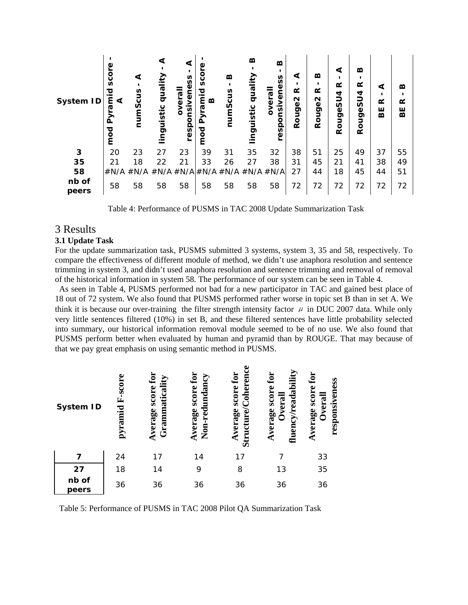

Table 4: Performance of PUSMS in TAC 2008 Update Summarization Task

# 3 Results

#### **3.1 Update Task**

For the update summarization task, PUSMS submitted 3 systems, system 3, 35 and 58, respectively. To compare the effectiveness of different module of method, we didn't use anaphora resolution and sentence trimming in system 3, and didn't used anaphora resolution and sentence trimming and removal of removal of the historical information in system 58. The performance of our system can be seen in Table 4.

As seen in Table 4, PUSMS performed not bad for a new participator in TAC and gained best place of 18 out of 72 system. We also found that PUSMS performed rather worse in topic set B than in set A. We think it is because our over-training the filter strength intensity factor  $\mu$  in DUC 2007 data. While only very little sentences filtered (10%) in set B, and these filtered sentences have little probability selected into summary, our historical information removal module seemed to be of no use. We also found that PUSMS perform better when evaluated by human and pyramid than by ROUGE. That may because of that we pay great emphasis on using semantic method in PUSMS.

| <b>System ID</b> | F-score<br>pyramid | for<br>Grammaticality<br>Average score | score for<br>Non-redundancy<br>Average | ω<br>Coherenc<br>score for<br>Average<br>curve<br>$\mathbf{S}$ iri | fluency/readability<br>$_{\rm for}$<br>Average score<br><b>Overall</b> | ${\bf f}$ or<br>responsiveness<br>score<br>Overal<br>Average |
|------------------|--------------------|----------------------------------------|----------------------------------------|--------------------------------------------------------------------|------------------------------------------------------------------------|--------------------------------------------------------------|
| 7                | 24                 | 17                                     | 14                                     | 17                                                                 |                                                                        | 33                                                           |
| 27               | 18                 | 14                                     | 9                                      | 8                                                                  | 13                                                                     | 35                                                           |
| nb of<br>peers   | 36                 | 36                                     | 36                                     | 36                                                                 | 36                                                                     | 36                                                           |

Table 5: Performance of PUSMS in TAC 2008 Pilot QA Summarization Task